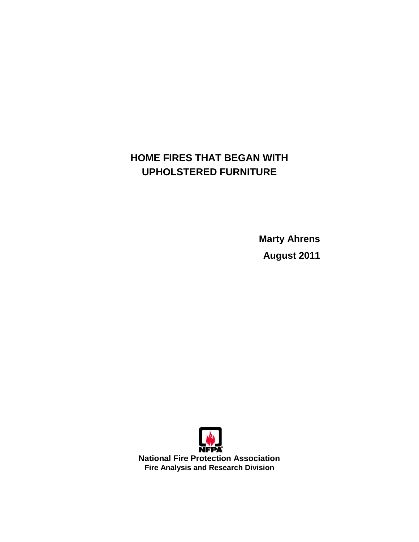# **HOME FIRES THAT BEGAN WITH UPHOLSTERED FURNITURE**

**Marty Ahrens August 2011** 

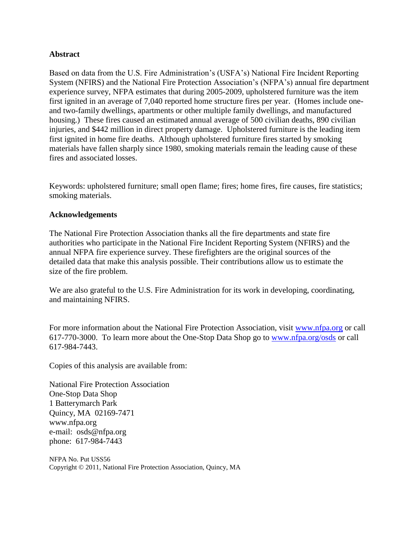#### **Abstract**

Based on data from the U.S. Fire Administration's (USFA's) National Fire Incident Reporting System (NFIRS) and the National Fire Protection Association"s (NFPA"s) annual fire department experience survey, NFPA estimates that during 2005-2009, upholstered furniture was the item first ignited in an average of 7,040 reported home structure fires per year. (Homes include oneand two-family dwellings, apartments or other multiple family dwellings, and manufactured housing.) These fires caused an estimated annual average of 500 civilian deaths, 890 civilian injuries, and \$442 million in direct property damage. Upholstered furniture is the leading item first ignited in home fire deaths. Although upholstered furniture fires started by smoking materials have fallen sharply since 1980, smoking materials remain the leading cause of these fires and associated losses.

Keywords: upholstered furniture; small open flame; fires; home fires, fire causes, fire statistics; smoking materials.

#### **Acknowledgements**

The National Fire Protection Association thanks all the fire departments and state fire authorities who participate in the National Fire Incident Reporting System (NFIRS) and the annual NFPA fire experience survey. These firefighters are the original sources of the detailed data that make this analysis possible. Their contributions allow us to estimate the size of the fire problem.

We are also grateful to the U.S. Fire Administration for its work in developing, coordinating, and maintaining NFIRS.

For more information about the National Fire Protection Association, visit [www.nfpa.org](http://www.nfpa.org/) or call 617-770-3000. To learn more about the One-Stop Data Shop go to [www.nfpa.org/osds](http://www.nfpa.org/osds) or call 617-984-7443.

Copies of this analysis are available from:

National Fire Protection Association One-Stop Data Shop 1 Batterymarch Park Quincy, MA 02169-7471 [www.nfpa.org](http://www.nfpa.org)  e-mail: [osds@nfpa.org](mailto:osds@nfpa.org)  phone: 617-984-7443

NFPA No. Put USS56 Copyright © 2011, National Fire Protection Association, Quincy, MA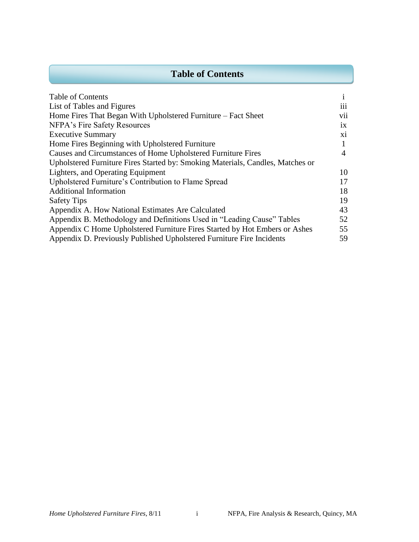### **Table of Contents**

| <b>Table of Contents</b>                                                       | 1               |
|--------------------------------------------------------------------------------|-----------------|
| List of Tables and Figures                                                     | 111             |
| Home Fires That Began With Upholstered Furniture – Fact Sheet                  | vii             |
| NFPA's Fire Safety Resources                                                   | $\overline{1}X$ |
| <b>Executive Summary</b>                                                       | X1              |
| Home Fires Beginning with Upholstered Furniture                                |                 |
| Causes and Circumstances of Home Upholstered Furniture Fires                   | 4               |
| Upholstered Furniture Fires Started by: Smoking Materials, Candles, Matches or |                 |
| Lighters, and Operating Equipment                                              | 10              |
| Upholstered Furniture's Contribution to Flame Spread                           | 17              |
| <b>Additional Information</b>                                                  | 18              |
| <b>Safety Tips</b>                                                             | 19              |
| Appendix A. How National Estimates Are Calculated                              | 43              |
| Appendix B. Methodology and Definitions Used in "Leading Cause" Tables         | 52              |
| Appendix C Home Upholstered Furniture Fires Started by Hot Embers or Ashes     | 55              |
| Appendix D. Previously Published Upholstered Furniture Fire Incidents          | 59              |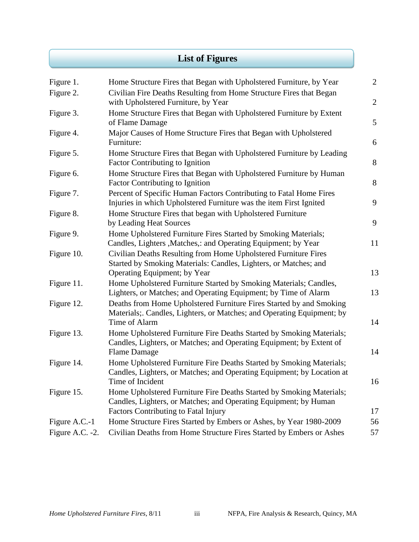## **List of Figures**

| Figure 1.       | Home Structure Fires that Began with Upholstered Furniture, by Year                                                                                                                     | $\overline{2}$ |
|-----------------|-----------------------------------------------------------------------------------------------------------------------------------------------------------------------------------------|----------------|
| Figure 2.       | Civilian Fire Deaths Resulting from Home Structure Fires that Began<br>with Upholstered Furniture, by Year                                                                              | $\overline{2}$ |
| Figure 3.       | Home Structure Fires that Began with Upholstered Furniture by Extent<br>of Flame Damage                                                                                                 | 5              |
| Figure 4.       | Major Causes of Home Structure Fires that Began with Upholstered<br>Furniture:                                                                                                          | 6              |
| Figure 5.       | Home Structure Fires that Began with Upholstered Furniture by Leading<br><b>Factor Contributing to Ignition</b>                                                                         | 8              |
| Figure 6.       | Home Structure Fires that Began with Upholstered Furniture by Human<br><b>Factor Contributing to Ignition</b>                                                                           | 8              |
| Figure 7.       | Percent of Specific Human Factors Contributing to Fatal Home Fires<br>Injuries in which Upholstered Furniture was the item First Ignited                                                | 9              |
| Figure 8.       | Home Structure Fires that began with Upholstered Furniture<br>by Leading Heat Sources                                                                                                   | 9              |
| Figure 9.       | Home Upholstered Furniture Fires Started by Smoking Materials;<br>Candles, Lighters , Matches,: and Operating Equipment; by Year                                                        | 11             |
| Figure 10.      | Civilian Deaths Resulting from Home Upholstered Furniture Fires<br>Started by Smoking Materials: Candles, Lighters, or Matches; and<br><b>Operating Equipment</b> ; by Year             | 13             |
| Figure 11.      | Home Upholstered Furniture Started by Smoking Materials; Candles,<br>Lighters, or Matches; and Operating Equipment; by Time of Alarm                                                    | 13             |
| Figure 12.      | Deaths from Home Upholstered Furniture Fires Started by and Smoking<br>Materials; Candles, Lighters, or Matches; and Operating Equipment; by<br>Time of Alarm                           | 14             |
| Figure 13.      | Home Upholstered Furniture Fire Deaths Started by Smoking Materials;<br>Candles, Lighters, or Matches; and Operating Equipment; by Extent of<br><b>Flame Damage</b>                     | 14             |
| Figure 14.      | Home Upholstered Furniture Fire Deaths Started by Smoking Materials;<br>Candles, Lighters, or Matches; and Operating Equipment; by Location at<br>Time of Incident                      | 16             |
| Figure 15.      | Home Upholstered Furniture Fire Deaths Started by Smoking Materials;<br>Candles, Lighters, or Matches; and Operating Equipment; by Human<br><b>Factors Contributing to Fatal Injury</b> | 17             |
| Figure A.C.-1   | Home Structure Fires Started by Embers or Ashes, by Year 1980-2009                                                                                                                      | 56             |
| Figure A.C. -2. | Civilian Deaths from Home Structure Fires Started by Embers or Ashes                                                                                                                    | 57             |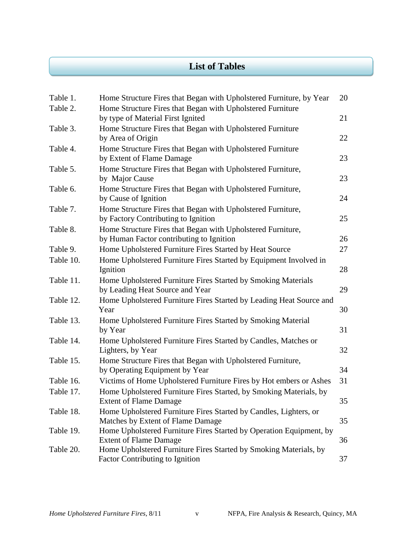### **List of Tables**

| Table 1.  | Home Structure Fires that Began with Upholstered Furniture, by Year                                         | 20 |
|-----------|-------------------------------------------------------------------------------------------------------------|----|
| Table 2.  | Home Structure Fires that Began with Upholstered Furniture<br>by type of Material First Ignited             | 21 |
| Table 3.  | Home Structure Fires that Began with Upholstered Furniture<br>by Area of Origin                             | 22 |
| Table 4.  | Home Structure Fires that Began with Upholstered Furniture<br>by Extent of Flame Damage                     | 23 |
| Table 5.  | Home Structure Fires that Began with Upholstered Furniture,<br>by Major Cause                               | 23 |
| Table 6.  | Home Structure Fires that Began with Upholstered Furniture,<br>by Cause of Ignition                         | 24 |
| Table 7.  | Home Structure Fires that Began with Upholstered Furniture,<br>by Factory Contributing to Ignition          | 25 |
| Table 8.  | Home Structure Fires that Began with Upholstered Furniture,<br>by Human Factor contributing to Ignition     | 26 |
| Table 9.  | Home Upholstered Furniture Fires Started by Heat Source                                                     | 27 |
| Table 10. | Home Upholstered Furniture Fires Started by Equipment Involved in<br>Ignition                               | 28 |
| Table 11. | Home Upholstered Furniture Fires Started by Smoking Materials<br>by Leading Heat Source and Year            | 29 |
| Table 12. | Home Upholstered Furniture Fires Started by Leading Heat Source and<br>Year                                 | 30 |
| Table 13. | Home Upholstered Furniture Fires Started by Smoking Material<br>by Year                                     | 31 |
| Table 14. | Home Upholstered Furniture Fires Started by Candles, Matches or<br>Lighters, by Year                        | 32 |
| Table 15. | Home Structure Fires that Began with Upholstered Furniture,<br>by Operating Equipment by Year               | 34 |
| Table 16. | Victims of Home Upholstered Furniture Fires by Hot embers or Ashes                                          | 31 |
| Table 17. | Home Upholstered Furniture Fires Started, by Smoking Materials, by<br><b>Extent of Flame Damage</b>         | 35 |
| Table 18. | Home Upholstered Furniture Fires Started by Candles, Lighters, or<br>Matches by Extent of Flame Damage      | 35 |
| Table 19. | Home Upholstered Furniture Fires Started by Operation Equipment, by<br><b>Extent of Flame Damage</b>        | 36 |
| Table 20. | Home Upholstered Furniture Fires Started by Smoking Materials, by<br><b>Factor Contributing to Ignition</b> | 37 |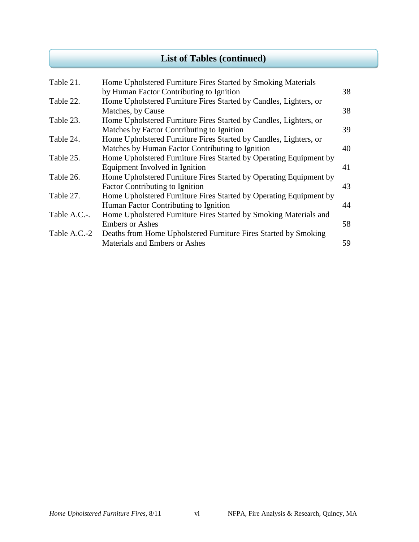## **List of Tables (continued)**

| Table 21.    | Home Upholstered Furniture Fires Started by Smoking Materials      |    |
|--------------|--------------------------------------------------------------------|----|
|              | by Human Factor Contributing to Ignition                           | 38 |
| Table 22.    | Home Upholstered Furniture Fires Started by Candles, Lighters, or  |    |
|              | Matches, by Cause                                                  | 38 |
| Table 23.    | Home Upholstered Furniture Fires Started by Candles, Lighters, or  |    |
|              | Matches by Factor Contributing to Ignition                         | 39 |
| Table 24.    | Home Upholstered Furniture Fires Started by Candles, Lighters, or  |    |
|              | Matches by Human Factor Contributing to Ignition                   | 40 |
| Table 25.    | Home Upholstered Furniture Fires Started by Operating Equipment by |    |
|              | Equipment Involved in Ignition                                     | 41 |
| Table 26.    | Home Upholstered Furniture Fires Started by Operating Equipment by |    |
|              | <b>Factor Contributing to Ignition</b>                             | 43 |
| Table 27.    | Home Upholstered Furniture Fires Started by Operating Equipment by |    |
|              | Human Factor Contributing to Ignition                              | 44 |
| Table A.C.-. | Home Upholstered Furniture Fires Started by Smoking Materials and  |    |
|              | <b>Embers or Ashes</b>                                             | 58 |
| Table A.C.-2 | Deaths from Home Upholstered Furniture Fires Started by Smoking    |    |
|              | Materials and Embers or Ashes                                      | 59 |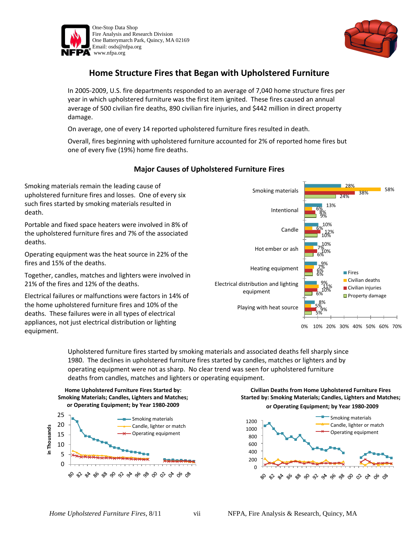

death.

deaths.

equipment.



#### **Home Structure Fires that Began with Upholstered Furniture**

In 2005-2009, U.S. fire departments responded to an average of 7,040 home structure fires per year in which upholstered furniture was the first item ignited. These fires caused an annual average of 500 civilian fire deaths, 890 civilian fire injuries, and \$442 million in direct property damage.

On average, one of every 14 reported upholstered furniture fires resulted in death.

Overall, fires beginning with upholstered furniture accounted for 2% of reported home fires but one of every five (19%) home fire deaths.

#### **Major Causes of Upholstered Furniture Fires**

Smoking materials remain the leading cause of upholstered furniture fires and losses. One of every six such fires started by smoking materials resulted in Portable and fixed space heaters were involved in 8% of the upholstered furniture fires and 7% of the associated Operating equipment was the heat source in 22% of the fires and 15% of the deaths. Together, candles, matches and lighters were involved in 21% of the fires and 12% of the deaths. Electrical failures or malfunctions were factors in 14% of the home upholstered furniture fires and 10% of the deaths. These failures were in all types of electrical appliances, not just electrical distribution or lighting 5% 6% 6% 6% 10% 9% 24% 9% 10% 6%  $7\frac{\%}{\%}$  0% 12% 8% 38% 5% 11% 7% 6% 6% 58% 8% 9% 9% 10% 10% 13% 28% Playing with heat source Electrical distribution and lighting equipment Heating equipment Hot ember or ash Candle Intentional Smoking materials **Fires** Civilian deaths **Civilian injuries Property damage** 

0% 10% 20% 30% 40% 50% 60% 70%

Upholstered furniture fires started by smoking materials and associated deaths fell sharply since 1980. The declines in upholstered furniture fires started by candles, matches or lighters and by operating equipment were not as sharp. No clear trend was seen for upholstered furniture deaths from candles, matches and lighters or operating equipment.



**Civilian Deaths from Home Upholstered Furniture Fires Started by: Smoking Materials; Candles, Lighters and Matches;** 



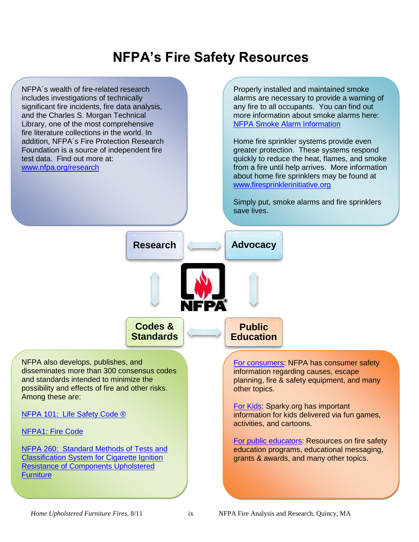# **NFPA's Fire Safety Resources**

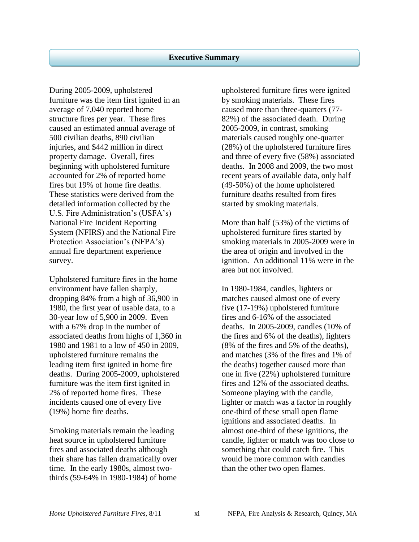During 2005-2009, upholstered furniture was the item first ignited in an average of 7,040 reported home structure fires per year. These fires caused an estimated annual average of 500 civilian deaths, 890 civilian injuries, and \$442 million in direct property damage. Overall, fires beginning with upholstered furniture accounted for 2% of reported home fires but 19% of home fire deaths. These statistics were derived from the detailed information collected by the U.S. Fire Administration's (USFA's) National Fire Incident Reporting System (NFIRS) and the National Fire Protection Association's (NFPA's) annual fire department experience survey.

Upholstered furniture fires in the home environment have fallen sharply, dropping 84% from a high of 36,900 in 1980, the first year of usable data, to a 30-year low of 5,900 in 2009. Even with a 67% drop in the number of associated deaths from highs of 1,360 in 1980 and 1981 to a low of 450 in 2009, upholstered furniture remains the leading item first ignited in home fire deaths. During 2005-2009, upholstered furniture was the item first ignited in 2% of reported home fires. These incidents caused one of every five (19%) home fire deaths.

Smoking materials remain the leading heat source in upholstered furniture fires and associated deaths although their share has fallen dramatically over time. In the early 1980s, almost twothirds (59-64% in 1980-1984) of home upholstered furniture fires were ignited by smoking materials. These fires caused more than three-quarters (77- 82%) of the associated death. During 2005-2009, in contrast, smoking materials caused roughly one-quarter (28%) of the upholstered furniture fires and three of every five (58%) associated deaths. In 2008 and 2009, the two most recent years of available data, only half (49-50%) of the home upholstered furniture deaths resulted from fires started by smoking materials.

More than half (53%) of the victims of upholstered furniture fires started by smoking materials in 2005-2009 were in the area of origin and involved in the ignition. An additional 11% were in the area but not involved.

In 1980-1984, candles, lighters or matches caused almost one of every five (17-19%) upholstered furniture fires and 6-16% of the associated deaths. In 2005-2009, candles (10% of the fires and 6% of the deaths), lighters (8% of the fires and 5% of the deaths), and matches (3% of the fires and 1% of the deaths) together caused more than one in five (22%) upholstered furniture fires and 12% of the associated deaths. Someone playing with the candle, lighter or match was a factor in roughly one-third of these small open flame ignitions and associated deaths. In almost one-third of these ignitions, the candle, lighter or match was too close to something that could catch fire. This would be more common with candles than the other two open flames.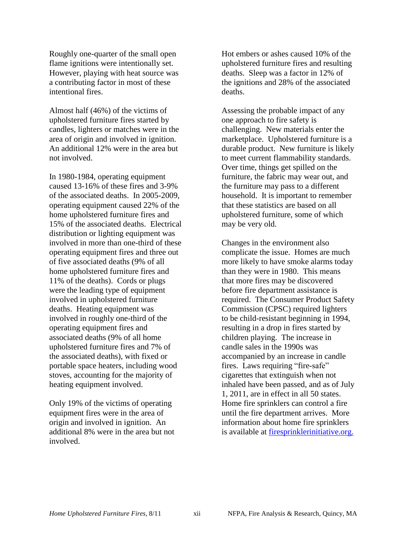Roughly one-quarter of the small open flame ignitions were intentionally set. However, playing with heat source was a contributing factor in most of these intentional fires.

Almost half (46%) of the victims of upholstered furniture fires started by candles, lighters or matches were in the area of origin and involved in ignition. An additional 12% were in the area but not involved.

In 1980-1984, operating equipment caused 13-16% of these fires and 3-9% of the associated deaths. In 2005-2009, operating equipment caused 22% of the home upholstered furniture fires and 15% of the associated deaths. Electrical distribution or lighting equipment was involved in more than one-third of these operating equipment fires and three out of five associated deaths (9% of all home upholstered furniture fires and 11% of the deaths). Cords or plugs were the leading type of equipment involved in upholstered furniture deaths. Heating equipment was involved in roughly one-third of the operating equipment fires and associated deaths (9% of all home upholstered furniture fires and 7% of the associated deaths), with fixed or portable space heaters, including wood stoves, accounting for the majority of heating equipment involved.

Only 19% of the victims of operating equipment fires were in the area of origin and involved in ignition. An additional 8% were in the area but not involved.

Hot embers or ashes caused 10% of the upholstered furniture fires and resulting deaths. Sleep was a factor in 12% of the ignitions and 28% of the associated deaths.

Assessing the probable impact of any one approach to fire safety is challenging. New materials enter the marketplace. Upholstered furniture is a durable product. New furniture is likely to meet current flammability standards. Over time, things get spilled on the furniture, the fabric may wear out, and the furniture may pass to a different household. It is important to remember that these statistics are based on all upholstered furniture, some of which may be very old.

Changes in the environment also complicate the issue. Homes are much more likely to have smoke alarms today than they were in 1980. This means that more fires may be discovered before fire department assistance is required. The Consumer Product Safety Commission (CPSC) required lighters to be child-resistant beginning in 1994, resulting in a drop in fires started by children playing. The increase in candle sales in the 1990s was accompanied by an increase in candle fires. Laws requiring "fire-safe" cigarettes that extinguish when not inhaled have been passed, and as of July 1, 2011, are in effect in all 50 states. Home fire sprinklers can control a fire until the fire department arrives. More information about home fire sprinklers is available at [firesprinklerinitiative.org.](http://www.firesprinklerinitiative.org/)